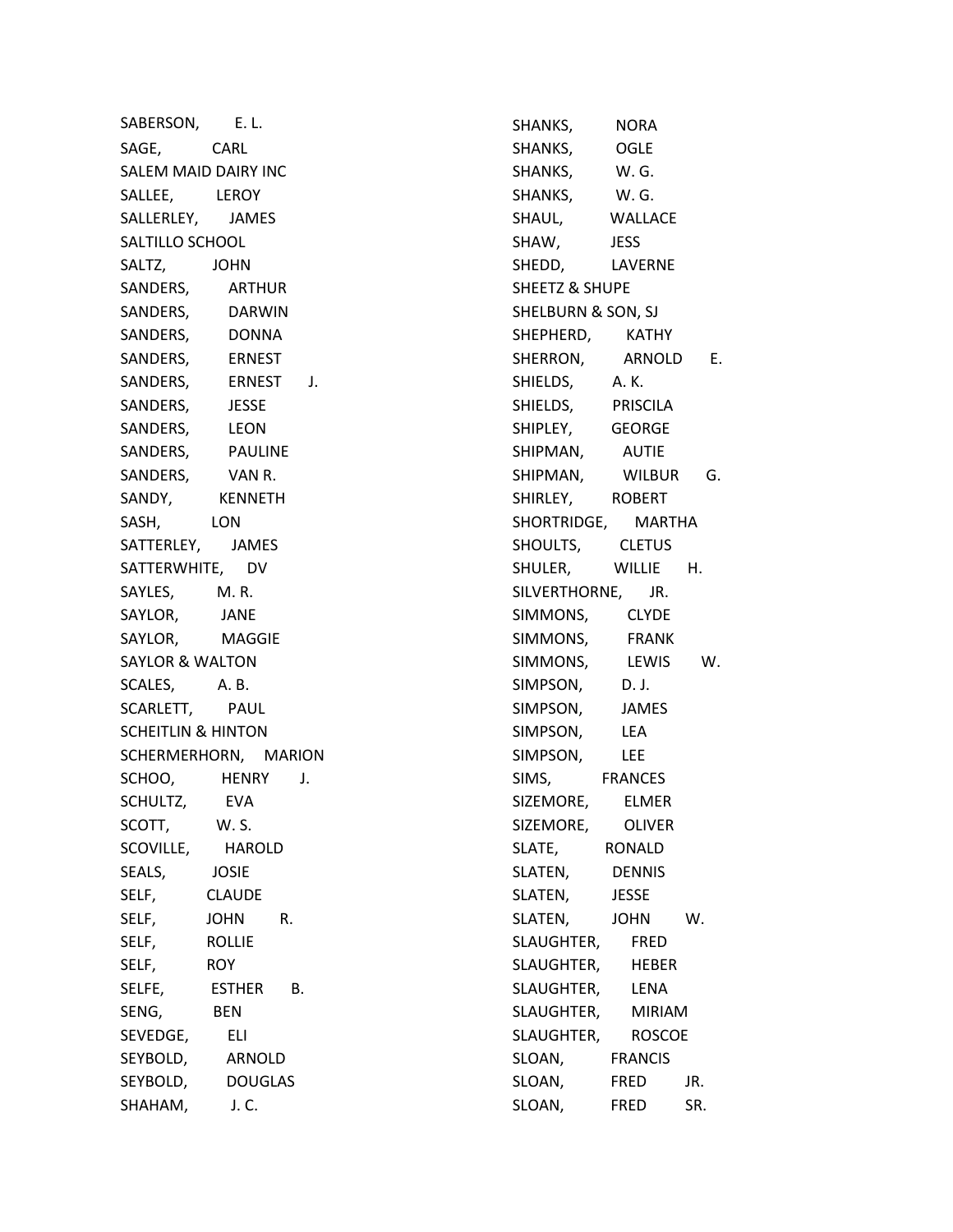SABERSON, E. L. SAGE, CARL SALEM MAID DAIRY INC SALLEE, LEROY SALLERLEY, JAMES SALTILLO SCHOOL SALTZ, JOHN SANDERS, ARTHUR SANDERS, DARWIN SANDERS, DONNA SANDERS, ERNEST SANDERS, ERNEST J. SANDERS, JESSE SANDERS, LEON SANDERS, PAULINE SANDERS, VAN R. SANDY, KENNETH SASH, LON SATTERLEY, JAMES SATTERWHITE, DV SAYLES, M. R. SAYLOR, JANE SAYLOR, MAGGIE SAYLOR & WALTON SCALES, A. B. SCARLETT, PAUL SCHEITLIN & HINTON SCHERMERHORN, MARION SCHOO, HENRY J. SCHULTZ, EVA SCOTT, W. S. SCOVILLE, HAROLD SEALS, JOSIE SELF, CLAUDE SELF, JOHN R. SELF, ROLLIE SELF, ROY SELFE, ESTHER B. SENG, BEN SEVEDGE, ELI SEYBOLD, ARNOLD SEYBOLD, DOUGLAS SHAHAM, J. C.

SHANKS, NORA SHANKS, OGLE SHANKS, W. G. SHANKS, W. G. SHAUL, WALLACE SHAW, JESS SHEDD, LAVERNE SHEETZ & SHUPE SHELBURN & SON, SJ SHEPHERD, KATHY SHERRON, ARNOLD E. SHIELDS, A. K. SHIELDS, PRISCILA SHIPLEY, GEORGE SHIPMAN, AUTIE SHIPMAN, WILBUR G. SHIRLEY, ROBERT SHORTRIDGE, MARTHA SHOULTS, CLETUS SHULER, WILLIE H. SILVERTHORNE, JR. SIMMONS, CLYDE SIMMONS, FRANK SIMMONS, LEWIS W. SIMPSON, D. J. SIMPSON, JAMES SIMPSON, LEA SIMPSON, LEE SIMS, FRANCES SIZEMORE, ELMER SIZEMORE, OLIVER SLATE, RONALD SLATEN, DENNIS SLATEN, JESSE SLATEN, JOHN W. SLAUGHTER, FRED SLAUGHTER, HEBER SLAUGHTER, LENA SLAUGHTER, MIRIAM SLAUGHTER, ROSCOE SLOAN, FRANCIS SLOAN, FRED JR. SLOAN, FRED SR.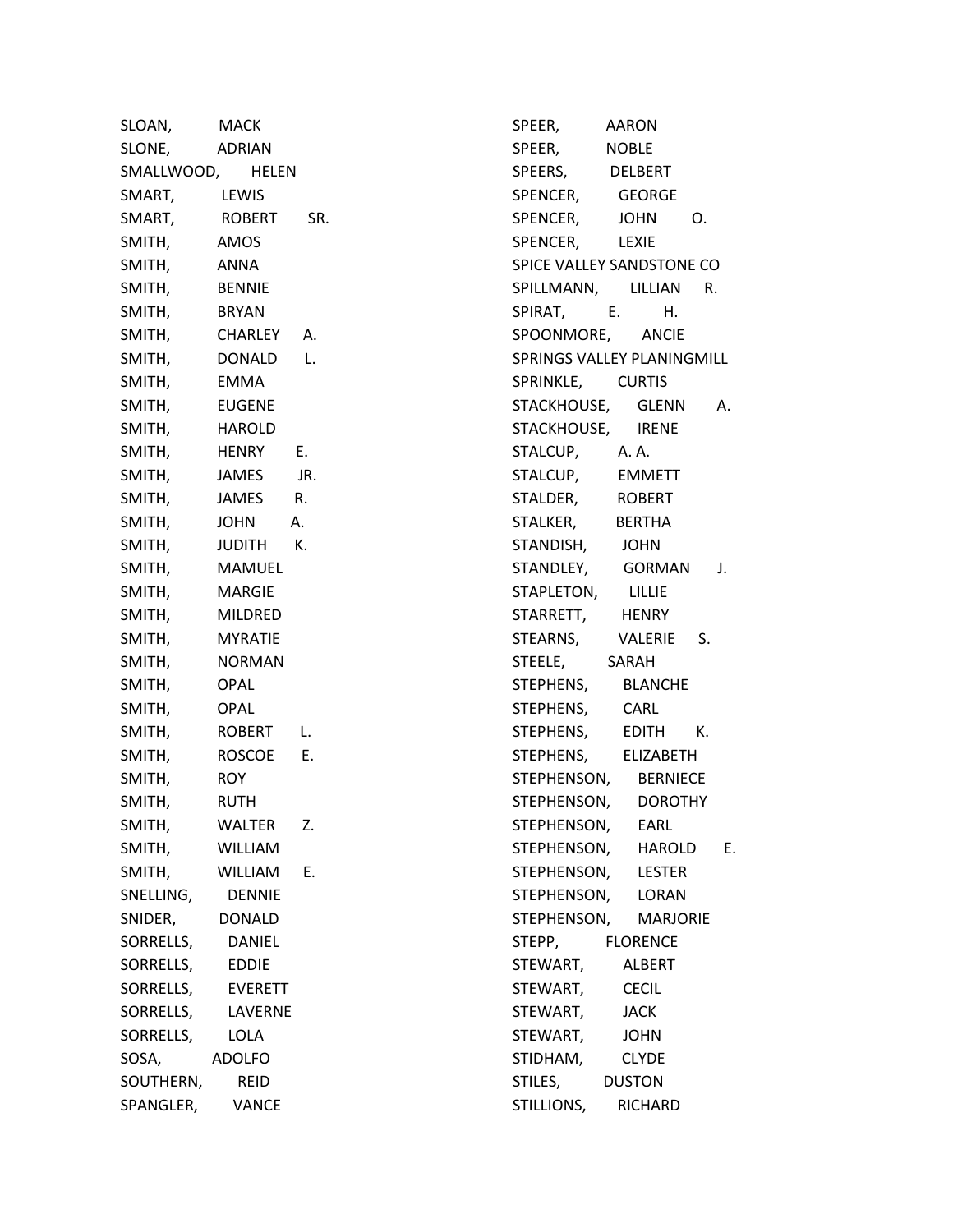| SLOAN,           | <b>MACK</b>    |     |  |
|------------------|----------------|-----|--|
| SLONE,           | ADRIAN         |     |  |
| SMALLWOOD, HELEN |                |     |  |
| SMART,           | LEWIS          |     |  |
| SMART,           | ROBERT         | SR. |  |
| SMITH,           | AMOS           |     |  |
| SMITH,           | ANNA           |     |  |
| SMITH,           | <b>BENNIE</b>  |     |  |
| SMITH,           | <b>BRYAN</b>   |     |  |
| SMITH,           | CHARLEY A.     |     |  |
| SMITH,           | DONALD         | L.  |  |
| SMITH,           | EMMA           |     |  |
| SMITH,           | <b>EUGENE</b>  |     |  |
| SMITH,           | HAROLD         |     |  |
| SMITH,           | <b>HENRY</b>   | Е.  |  |
| SMITH,           | JAMES JR.      |     |  |
| SMITH,           | JAMES          | R.  |  |
| SMITH,           | JOHN A.        |     |  |
| SMITH,           | JUDITH K.      |     |  |
| SMITH,           | MAMUEL         |     |  |
| SMITH,           | <b>MARGIE</b>  |     |  |
| SMITH,           | <b>MILDRED</b> |     |  |
| SMITH,           | <b>MYRATIE</b> |     |  |
| SMITH,           | NORMAN         |     |  |
| SMITH,           | <b>OPAL</b>    |     |  |
| SMITH,           | OPAL           |     |  |
| SMITH,           | ROBERT         | L.  |  |
| SMITH,           | ROSCOE E.      |     |  |
| SMITH,           | <b>ROY</b>     |     |  |
| SMITH,           | <b>RUTH</b>    |     |  |
| SMITH,           | WALTER         | Z.  |  |
| SMITH,           | WILLIAM        |     |  |
| SMITH,           | WILLIAM        | Е.  |  |
| SNELLING,        | <b>DENNIE</b>  |     |  |
| SNIDER,          | DONALD         |     |  |
| SORRELLS,        | DANIEL         |     |  |
| SORRELLS,        | <b>EDDIE</b>   |     |  |
| SORRELLS,        | <b>EVERETT</b> |     |  |
| SORRELLS,        | LAVERNE        |     |  |
| SORRELLS,        | LOLA           |     |  |
| SOSA,            | <b>ADOLFO</b>  |     |  |
| SOUTHERN,        | REID           |     |  |
| SPANGLER,        | VANCE          |     |  |

SPEER, AARON SPEER, NOBLE SPEERS, DELBERT SPENCER, GEORGE SPENCER, JOHN O. SPENCER, LEXIE SPICE VALLEY SANDSTONE CO SPILLMANN, LILLIAN R. SPIRAT, E. H. SPOONMORE, ANCIE SPRINGS VALLEY PLANINGMILL SPRINKLE, CURTIS STACKHOUSE, GLENN A. STACKHOUSE, IRENE STALCUP, A. A. STALCUP, EMMETT STALDER, ROBERT STALKER, BERTHA STANDISH, JOHN STANDLEY, GORMAN J. STAPLETON, LILLIE STARRETT, HENRY STEARNS, VALERIE S. STEELE, SARAH STEPHENS, BLANCHE STEPHENS, CARL STEPHENS, EDITH K. STEPHENS, ELIZABETH STEPHENSON, BERNIECE STEPHENSON, DOROTHY STEPHENSON, EARL STEPHENSON, HAROLD E. STEPHENSON, LESTER STEPHENSON, LORAN STEPHENSON, MARJORIE STEPP, FLORENCE STEWART, ALBERT STEWART, CECIL STEWART, JACK STEWART, JOHN STIDHAM, CLYDE STILES, DUSTON STILLIONS, RICHARD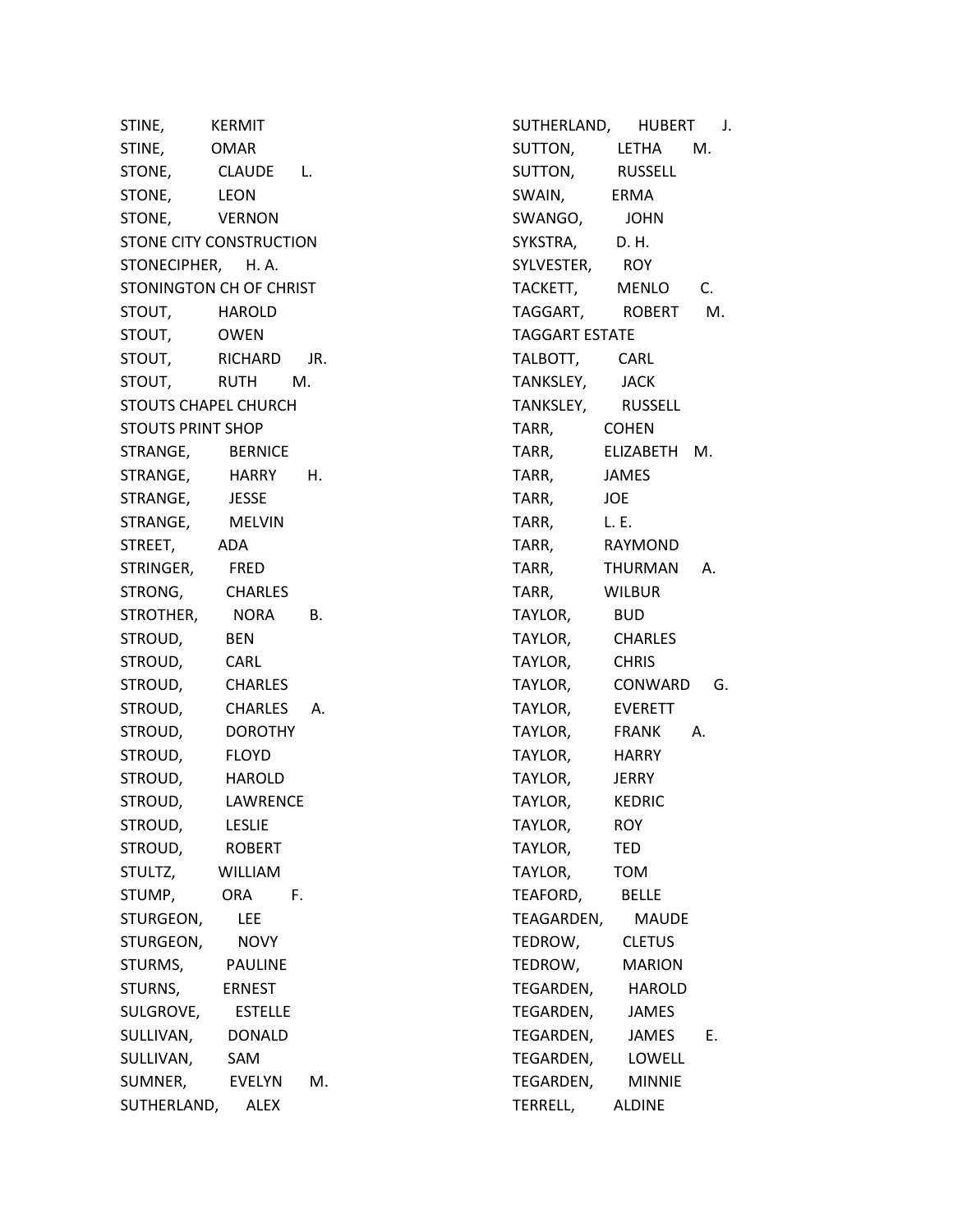STINE, KERMIT STINE, OMAR STONE, CLAUDE L. STONE, LEON STONE, VERNON STONE CITY CONSTRUCTION STONECIPHER, H. A. STONINGTON CH OF CHRIST STOUT, HAROLD STOUT, OWEN STOUT, RICHARD JR. STOUT, RUTH M. STOUTS CHAPEL CHURCH STOUTS PRINT SHOP STRANGE, BERNICE STRANGE, HARRY H. STRANGE, JESSE STRANGE, MELVIN STREET, ADA STRINGER, FRED STRONG, CHARLES STROTHER, NORA B. STROUD, BEN STROUD, CARL STROUD, CHARLES STROUD, CHARLES A. STROUD, DOROTHY STROUD, FLOYD STROUD, HAROLD STROUD, LAWRENCE STROUD, LESLIE STROUD, ROBERT STULTZ, WILLIAM STUMP, ORA F. STURGEON, LEE STURGEON, NOVY STURMS, PAULINE STURNS, ERNEST SULGROVE, ESTELLE SULLIVAN, DONALD SULLIVAN, SAM SUMNER, EVELYN M. SUTHERLAND, ALEX

SUTHERLAND, HUBERT J. SUTTON, LETHA M. SUTTON, RUSSELL SWAIN, ERMA SWANGO, JOHN SYKSTRA, D. H. SYLVESTER, ROY TACKETT, MENLO C. TAGGART, ROBERT M. TAGGART ESTATE TALBOTT, CARL TANKSLEY, JACK TANKSLEY, RUSSELL TARR, COHEN TARR, ELIZABETH M. TARR, JAMES TARR, JOE TARR, L. E. TARR, RAYMOND TARR, THURMAN A. TARR, WILBUR TAYLOR, BUD TAYLOR, CHARLES TAYLOR, CHRIS TAYLOR, CONWARD G. TAYLOR, EVERETT TAYLOR, FRANK A. TAYLOR, HARRY TAYLOR, JERRY TAYLOR, KEDRIC TAYLOR, ROY TAYLOR, TED TAYLOR, TOM TEAFORD, BELLE TEAGARDEN, MAUDE TEDROW, CLETUS TEDROW, MARION TEGARDEN, HAROLD TEGARDEN, JAMES TEGARDEN, JAMES E. TEGARDEN, LOWELL TEGARDEN, MINNIE TERRELL, ALDINE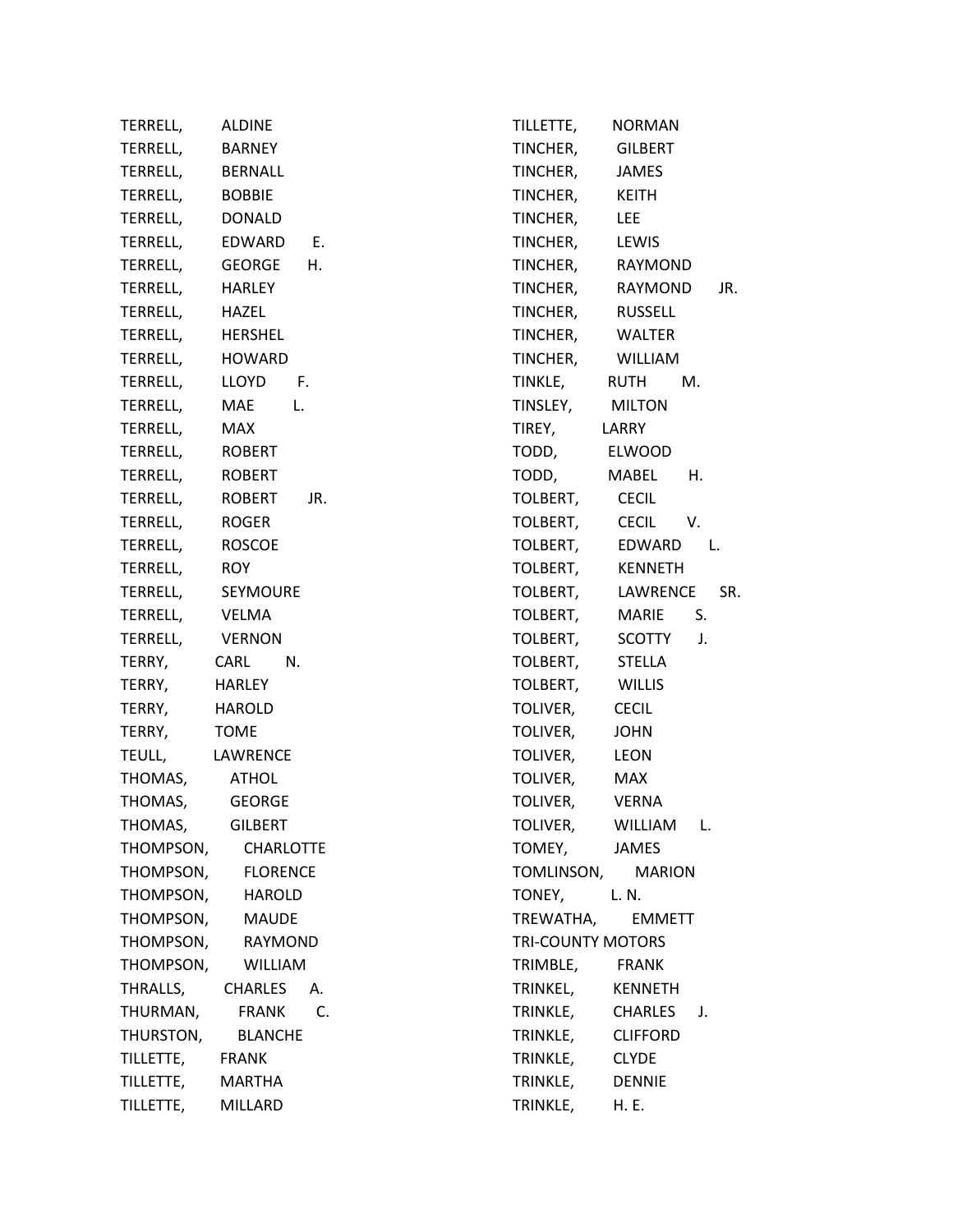| TERRELL,          | <b>ALDINE</b>          | T           |
|-------------------|------------------------|-------------|
| TERRELL, BARNEY   |                        | $\mathsf T$ |
| TERRELL, BERNALL  |                        | $\mathsf T$ |
| TERRELL, BOBBIE   |                        | $\mathsf T$ |
| TERRELL, DONALD   |                        | $\mathsf T$ |
|                   | TERRELL, EDWARD E.     | $\mathsf T$ |
|                   | TERRELL, GEORGE H.     | $\mathsf T$ |
| TERRELL, HARLEY   |                        | $\mathsf T$ |
| TERRELL, HAZEL    |                        | $\mathsf T$ |
| TERRELL, HERSHEL  |                        | $\mathsf T$ |
| TERRELL, HOWARD   |                        | $\mathsf T$ |
|                   | TERRELL, LLOYD F.      | $\mathsf T$ |
|                   | TERRELL, MAE L.        | $\mathsf T$ |
| TERRELL, MAX      |                        | $\mathsf T$ |
| TERRELL, ROBERT   |                        | $\mathsf T$ |
| TERRELL, ROBERT   |                        | $\mathsf T$ |
|                   | TERRELL, ROBERT<br>JR. | T           |
| TERRELL, ROGER    |                        | $\mathsf T$ |
| TERRELL, ROSCOE   |                        | $\mathsf T$ |
| TERRELL, ROY      |                        | $\mathsf T$ |
|                   | TERRELL, SEYMOURE      | T           |
| TERRELL, VELMA    |                        | $\mathsf T$ |
| TERRELL, VERNON   |                        | $\mathsf T$ |
| TERRY, CARL       | N.                     | $\mathsf T$ |
| TERRY, HARLEY     |                        | T           |
| TERRY, HAROLD     |                        | T           |
| TERRY, TOME       |                        | $\mathsf T$ |
| TEULL, LAWRENCE   |                        | $\mathsf T$ |
| THOMAS, ATHOL     |                        | T           |
| THOMAS, GEORGE    |                        | T           |
| THOMAS,           | <b>GILBERT</b>         | Т           |
|                   | THOMPSON, CHARLOTTE    | $\mathsf T$ |
|                   | THOMPSON, FLORENCE     | $\mathsf T$ |
|                   | THOMPSON, HAROLD       | $\mathsf T$ |
| THOMPSON, MAUDE   |                        | $\mathsf T$ |
|                   | THOMPSON, RAYMOND      | $\mathsf T$ |
|                   | THOMPSON, WILLIAM      | $\mathsf T$ |
| THRALLS, CHARLES  | A.                     | $\mathsf T$ |
|                   | THURMAN, FRANK C.      | $\mathsf T$ |
|                   | THURSTON, BLANCHE      | $\mathsf T$ |
| TILLETTE, FRANK   |                        | $\mathsf T$ |
| TILLETTE, MARTHA  |                        | $\mathsf T$ |
| TILLETTE, MILLARD |                        | T           |

TILLETTE, NORMAN TINCHER, GILBERT TINCHER, JAMES TINCHER, KEITH TINCHER, LEE TINCHER, LEWIS TINCHER, RAYMOND TINCHER, RAYMOND JR. TINCHER, RUSSELL TINCHER, WALTER TINCHER, WILLIAM TINKLE, RUTH M. TINSLEY, MILTON TIREY, LARRY ODD, ELWOOD TODD, MABEL H. OLBERT, CECIL OLBERT, CECIL V. OLBERT, EDWARD L. OLBERT, KENNETH OLBERT, LAWRENCE SR. OLBERT, MARIE S. OLBERT, SCOTTY J. OLBERT, STELLA OLBERT, WILLIS OLIVER, CECIL OLIVER, JOHN OLIVER, LEON OLIVER, MAX OLIVER, VERNA OLIVER, WILLIAM L. OMEY, JAMES OMLINSON, MARION ONEY, L. N. TREWATHA, EMMETT RI-COUNTY MOTORS TRIMBLE, FRANK RINKEL, KENNETH TRINKLE, CHARLES J. TRINKLE, CLIFFORD RINKLE, CLYDE RINKLE, DENNIE TRINKLE, H. E.